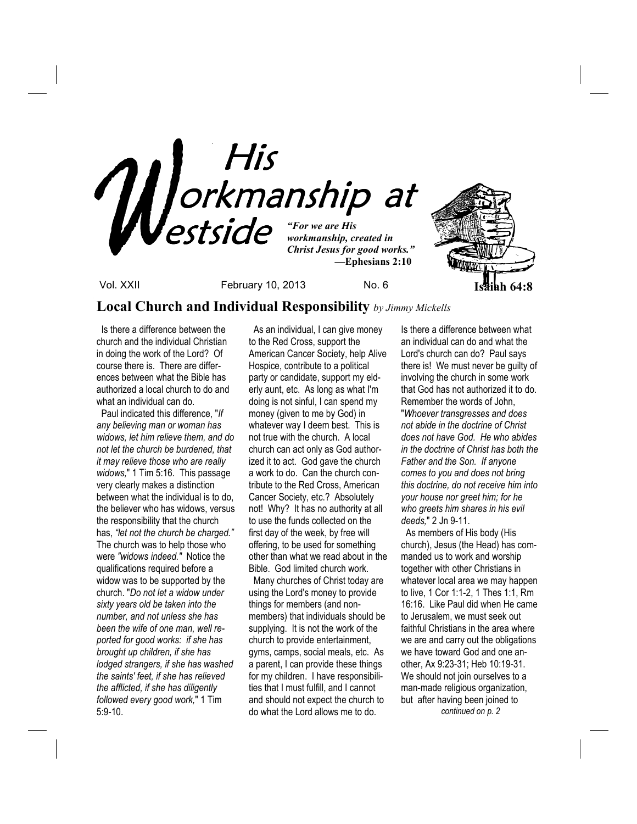

Vol. XXII February 10, 2013 No. 6 **Isaiah 64:8**

## **Local Church and Individual Responsibility** *by Jimmy Mickells*

 Is there a difference between the church and the individual Christian in doing the work of the Lord? Of course there is. There are differences between what the Bible has authorized a local church to do and what an individual can do.

 Paul indicated this difference, "*If any believing man or woman has widows, let him relieve them, and do not let the church be burdened, that it may relieve those who are really widows,*" 1 Tim 5:16. This passage very clearly makes a distinction between what the individual is to do, the believer who has widows, versus the responsibility that the church has, *"let not the church be charged."*  The church was to help those who were *"widows indeed."* Notice the qualifications required before a widow was to be supported by the church. "*Do not let a widow under sixty years old be taken into the number, and not unless she has been the wife of one man, well reported for good works: if she has brought up children, if she has lodged strangers, if she has washed the saints' feet, if she has relieved the afflicted, if she has diligently followed every good work,*" 1 Tim 5:9-10.

 As an individual, I can give money to the Red Cross, support the American Cancer Society, help Alive Hospice, contribute to a political party or candidate, support my elderly aunt, etc. As long as what I'm doing is not sinful, I can spend my money (given to me by God) in whatever way I deem best. This is not true with the church. A local church can act only as God authorized it to act. God gave the church a work to do. Can the church contribute to the Red Cross, American Cancer Society, etc.? Absolutely not! Why? It has no authority at all to use the funds collected on the first day of the week, by free will offering, to be used for something other than what we read about in the Bible. God limited church work.

 Many churches of Christ today are using the Lord's money to provide things for members (and nonmembers) that individuals should be supplying. It is not the work of the church to provide entertainment, gyms, camps, social meals, etc. As a parent, I can provide these things for my children. I have responsibilities that I must fulfill, and I cannot and should not expect the church to do what the Lord allows me to do.

Is there a difference between what an individual can do and what the Lord's church can do? Paul says there is! We must never be guilty of involving the church in some work that God has not authorized it to do. Remember the words of John, "*Whoever transgresses and does not abide in the doctrine of Christ does not have God. He who abides in the doctrine of Christ has both the Father and the Son. If anyone comes to you and does not bring this doctrine, do not receive him into your house nor greet him; for he who greets him shares in his evil deeds,*" 2 Jn 9-11.

 As members of His body (His church), Jesus (the Head) has commanded us to work and worship together with other Christians in whatever local area we may happen to live, 1 Cor 1:1-2, 1 Thes 1:1, Rm 16:16. Like Paul did when He came to Jerusalem, we must seek out faithful Christians in the area where we are and carry out the obligations we have toward God and one another, Ax 9:23-31; Heb 10:19-31. We should not join ourselves to a man-made religious organization, but after having been joined to *continued on p. 2*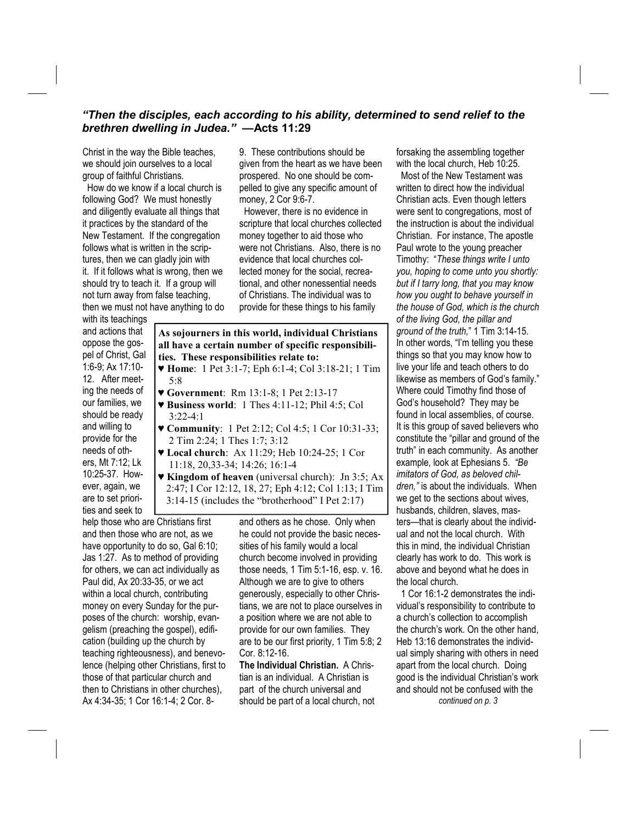### *"Then the disciples, each according to his ability, determined to send relief to the brethren dwelling in Judea." —***Acts 11:29**

Christ in the way the Bible teaches, we should join ourselves to a local group of faithful Christians.

 How do we know if a local church is following God? We must honestly and diligently evaluate all things that it practices by the standard of the New Testament. If the congregation follows what is written in the scriptures, then we can gladly join with it. If it follows what is wrong, then we should try to teach it. If a group will not turn away from false teaching, then we must not have anything to do 9. These contributions should be given from the heart as we have been prospered. No one should be compelled to give any specific amount of money, 2 Cor 9:6-7.

 However, there is no evidence in scripture that local churches collected money together to aid those who were not Christians. Also, there is no evidence that local churches collected money for the social, recreational, and other nonessential needs of Christians. The individual was to provide for these things to his family

with its teachings and actions that oppose the gospel of Christ, Gal 1:6-9; Ax 17:10- 12. After meeting the needs of our families, we should be ready and willing to provide for the needs of others, Mt 7:12; Lk 10:25-37. However, again, we are to set priorities and seek to

- **As sojourners in this world, individual Christians all have a certain number of specific responsibilities. These responsibilities relate to:** 
	- ♥ **Home**: 1 Pet 3:1-7; Eph 6:1-4; Col 3:18-21; 1 Tim 5:8
- ♥ **Government**: Rm 13:1-8; 1 Pet 2:13-17
- ♥ **Business world**: 1 Thes 4:11-12; Phil 4:5; Col 3:22-4:1
- ♥ **Community**: 1 Pet 2:12; Col 4:5; 1 Cor 10:31-33; 2 Tim 2:24; 1 Thes 1:7; 3:12
- ♥ **Local church**: Ax 11:29; Heb 10:24-25; 1 Cor 11:18, 20,33-34; 14:26; 16:1-4
- ♥ **Kingdom of heaven** (universal church): Jn 3:5; Ax 2:47; I Cor 12:12, 18, 27; Eph 4:12; Col 1:13; I Tim 3:14-15 (includes the "brotherhood" I Pet 2:17)

help those who are Christians first and then those who are not, as we have opportunity to do so, Gal 6:10; Jas 1:27. As to method of providing for others, we can act individually as Paul did, Ax 20:33-35, or we act within a local church, contributing money on every Sunday for the purposes of the church: worship, evangelism (preaching the gospel), edification (building up the church by teaching righteousness), and benevolence (helping other Christians, first to those of that particular church and then to Christians in other churches), Ax 4:34-35; 1 Cor 16:1-4; 2 Cor. 8-

and others as he chose. Only when he could not provide the basic necessities of his family would a local church become involved in providing those needs, 1 Tim 5:1-16, esp. v. 16. Although we are to give to others generously, especially to other Christians, we are not to place ourselves in a position where we are not able to provide for our own families. They are to be our first priority, 1 Tim 5:8; 2 Cor. 8:12-16.

**The Individual Christian.** A Christian is an individual. A Christian is part of the church universal and should be part of a local church, not

forsaking the assembling together with the local church, Heb 10:25.

 Most of the New Testament was written to direct how the individual Christian acts. Even though letters were sent to congregations, most of the instruction is about the individual Christian. For instance, The apostle Paul wrote to the young preacher Timothy: "*These things write I unto you, hoping to come unto you shortly: but if I tarry long, that you may know how you ought to behave yourself in the house of God, which is the church of the living God, the pillar and ground of the truth,*" 1 Tim 3:14-15. In other words, "I'm telling you these things so that you may know how to live your life and teach others to do likewise as members of God's family." Where could Timothy find those of God's household? They may be found in local assemblies, of course. It is this group of saved believers who constitute the "pillar and ground of the truth" in each community. As another example, look at Ephesians 5. *"Be imitators of God, as beloved children,"* is about the individuals. When we get to the sections about wives, husbands, children, slaves, masters—that is clearly about the individual and not the local church. With this in mind, the individual Christian clearly has work to do. This work is above and beyond what he does in the local church.

 1 Cor 16:1-2 demonstrates the individual's responsibility to contribute to a church's collection to accomplish the church's work. On the other hand, Heb 13:16 demonstrates the individual simply sharing with others in need apart from the local church. Doing good is the individual Christian's work and should not be confused with the *continued on p. 3*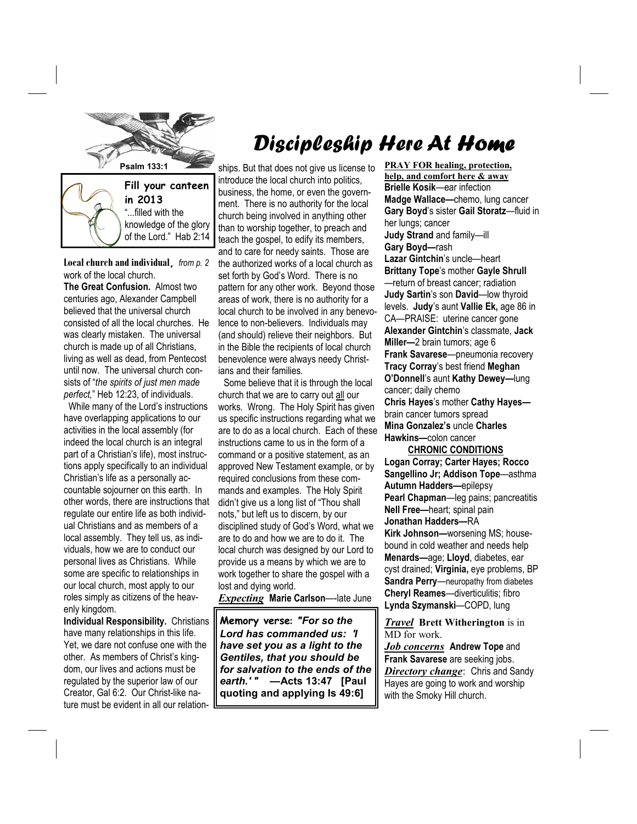

knowledge of the glory

**Local church and individual,** *from p. 2*  of the Lord." Hab 2:14

work of the local church. **The Great Confusion.** Almost two centuries ago, Alexander Campbell believed that the universal church consisted of all the local churches. He was clearly mistaken. The universal church is made up of all Christians, living as well as dead, from Pentecost until now. The universal church consists of "*the spirits of just men made perfect,*" Heb 12:23, of individuals.

 While many of the Lord's instructions have overlapping applications to our activities in the local assembly (for indeed the local church is an integral part of a Christian's life), most instructions apply specifically to an individual Christian's life as a personally accountable sojourner on this earth. In other words, there are instructions that regulate our entire life as both individual Christians and as members of a local assembly. They tell us, as individuals, how we are to conduct our personal lives as Christians. While some are specific to relationships in our local church, most apply to our roles simply as citizens of the heavenly kingdom.

**Individual Responsibility.** Christians have many relationships in this life. Yet, we dare not confuse one with the other. As members of Christ's kingdom, our lives and actions must be regulated by the superior law of our Creator, Gal 6:2. Our Christ-like nature must be evident in all our relation-

# Discipleship Here At Home

introduce the local church into politics, business, the home, or even the government. There is no authority for the local church being involved in anything other than to worship together, to preach and teach the gospel, to edify its members, and to care for needy saints. Those are the authorized works of a local church as set forth by God's Word. There is no pattern for any other work. Beyond those areas of work, there is no authority for a local church to be involved in any benevolence to non-believers. Individuals may (and should) relieve their neighbors. But in the Bible the recipients of local church benevolence were always needy Christians and their families.

 Some believe that it is through the local church that we are to carry out all our works. Wrong. The Holy Spirit has given us specific instructions regarding what we are to do as a local church. Each of these instructions came to us in the form of a command or a positive statement, as an approved New Testament example, or by required conclusions from these commands and examples. The Holy Spirit didn't give us a long list of "Thou shall nots," but left us to discern, by our disciplined study of God's Word, what we are to do and how we are to do it. The local church was designed by our Lord to provide us a means by which we are to work together to share the gospel with a lost and dying world.

*Expecting* **Marie Carlson**—-late June

**Memory verse:** *"For so the Lord has commanded us: 'I have set you as a light to the Gentiles, that you should be for salvation to the ends of the earth.' " —***Acts 13:47 [Paul quoting and applying Is 49:6]**

**PRAY FOR healing, protection, help, and comfort here & away Brielle Kosik**—ear infection **Madge Wallace—**chemo, lung cancer **Gary Boyd**'s sister **Gail Storatz**—fluid in her lungs; cancer **Judy Strand** and family—ill **Gary Boyd—**rash **Lazar Gintchin**'s uncle—heart **Brittany Tope**'s mother **Gayle Shrull**  —return of breast cancer; radiation **Judy Sartin**'s son **David**—low thyroid levels. **Judy**'s aunt **Vallie Ek,** age 86 in CA—PRAISE: uterine cancer gone **Alexander Gintchin**'s classmate, **Jack Miller—**2 brain tumors; age 6 **Frank Savarese**—pneumonia recovery **Tracy Corray**'s best friend **Meghan O'Donnell**'s aunt **Kathy Dewey—**lung cancer; daily chemo **Chris Hayes**'s mother **Cathy Hayes** brain cancer tumors spread **Mina Gonzalez's** uncle **Charles Hawkins—**colon cancer

 **CHRONIC CONDITIONS Logan Corray; Carter Hayes; Rocco Sangellino Jr; Addison Tope**—asthma **Autumn Hadders—**epilepsy **Pearl Chapman**—leg pains; pancreatitis **Nell Free—**heart; spinal pain **Jonathan Hadders—**RA **Kirk Johnson—**worsening MS; housebound in cold weather and needs help **Menards—**age; **Lloyd**, diabetes, ear cyst drained; **Virginia,** eye problems, BP **Sandra Perry**—neuropathy from diabetes **Cheryl Reames**—diverticulitis; fibro **Lynda Szymanski**—COPD, lung

*Travel* **Brett Witherington** is in MD for work.

*Job concerns* **Andrew Tope** and **Frank Savarese** are seeking jobs. **Directory change:** Chris and Sandy Hayes are going to work and worship with the Smoky Hill church.